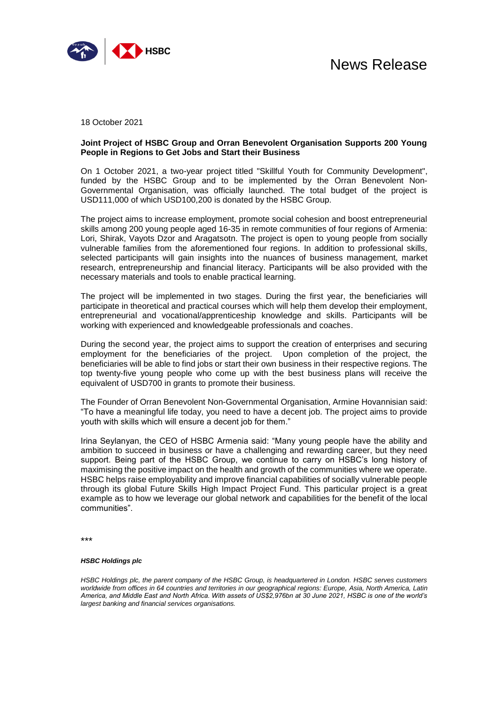

18 October 2021

## **Joint Project of HSBC Group and Orran Benevolent Organisation Supports 200 Young People in Regions to Get Jobs and Start their Business**

On 1 October 2021, a two-year project titled "Skillful Youth for Community Development", funded by the HSBC Group and to be implemented by the Orran Benevolent Non-Governmental Organisation, was officially launched. The total budget of the project is USD111,000 of which USD100,200 is donated by the HSBC Group.

The project aims to increase employment, promote social cohesion and boost entrepreneurial skills among 200 young people aged 16-35 in remote communities of four regions of Armenia: Lori, Shirak, Vayots Dzor and Aragatsotn. The project is open to young people from socially vulnerable families from the aforementioned four regions. In addition to professional skills, selected participants will gain insights into the nuances of business management, market research, entrepreneurship and financial literacy. Participants will be also provided with the necessary materials and tools to enable practical learning.

The project will be implemented in two stages. During the first year, the beneficiaries will participate in theoretical and practical courses which will help them develop their employment, entrepreneurial and vocational/apprenticeship knowledge and skills. Participants will be working with experienced and knowledgeable professionals and coaches.

During the second year, the project aims to support the creation of enterprises and securing employment for the beneficiaries of the project. Upon completion of the project, the beneficiaries will be able to find jobs or start their own business in their respective regions. The top twenty-five young people who come up with the best business plans will receive the equivalent of USD700 in grants to promote their business.

The Founder of Orran Benevolent Non-Governmental Organisation, Armine Hovannisian said: "To have a meaningful life today, you need to have a decent job. The project aims to provide youth with skills which will ensure a decent job for them."

Irina Seylanyan, the CEO of HSBC Armenia said: "Many young people have the ability and ambition to succeed in business or have a challenging and rewarding career, but they need support. Being part of the HSBC Group, we continue to carry on HSBC's long history of maximising the positive impact on the health and growth of the communities where we operate. HSBC helps raise employability and improve financial capabilities of socially vulnerable people through its global Future Skills High Impact Project Fund. This particular project is a great example as to how we leverage our global network and capabilities for the benefit of the local communities".

\*\*\*

## *HSBC Holdings plc*

*HSBC Holdings plc, the parent company of the HSBC Group, is headquartered in London. HSBC serves customers worldwide from offices in 64 countries and territories in our geographical regions: Europe, Asia, North America, Latin America, and Middle East and North Africa. With assets of US\$2,976bn at 30 June 2021, HSBC is one of the world's largest banking and financial services organisations.*